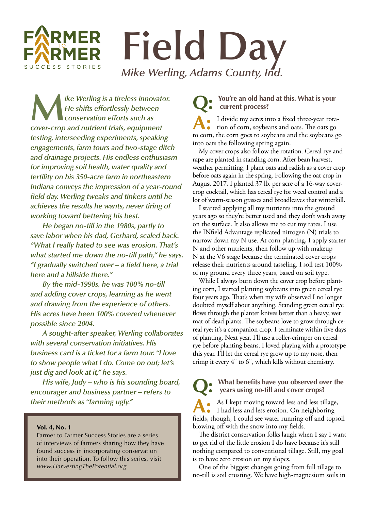## **RMER Field Day** CCESS STORIES *Mike Werling, Adams County, Ind.*

**M***ike Werling is a tireless innovator. He shifts effortlessly between conservation efforts such as cover-crop and nutrient trials, equipment testing, interseeding experiments, speaking engagements, farm tours and two-stage ditch and drainage projects. His endless enthusiasm for improving soil health, water quality and fertility on his 350-acre farm in northeastern Indiana conveys the impression of a year-round field day. Werling tweaks and tinkers until he achieves the results he wants, never tiring of working toward bettering his best.*

*He began no-till in the 1980s, partly to save labor when his dad, Gerhard, scaled back. "What I really hated to see was erosion. That's what started me down the no-till path," he says. "I gradually switched over – a field here, a trial here and a hillside there."*

*By the mid-1990s, he was 100% no-till and adding cover crops, learning as he went and drawing from the experience of others. His acres have been 100% covered whenever possible since 2004.*

*A sought-after speaker, Werling collaborates with several conservation initiatives. His business card is a ticket for a farm tour. "I love to show people what I do. Come on out; let's just dig and look at it," he says.*

*His wife, Judy – who is his sounding board, encourager and business partner – refers to their methods as "farming ugly."* 

## Vol. 4, No. 1

Farmer to Farmer Success Stories are a series of interviews of farmers sharing how they have found success in incorporating conservation into their operation. To follow this series, visit *www.HarvestingThePotential.org*

## You're an old hand at this. What is your **current process?**

**A:** I divide my acres into a fixed three-year rotation of corn, soybeans and oats. The oats go to corn, the corn goes to soybeans and the soybeans go into oats the following spring again.

My cover crops also follow the rotation. Cereal rye and rape are planted in standing corn. After bean harvest, weather permitting, I plant oats and radish as a cover crop before oats again in the spring. Following the oat crop in August 2017, I planted 37 lb. per acre of a 16-way covercrop cocktail, which has cereal rye for weed control and a lot of warm-season grasses and broadleaves that winterkill.

I started applying all my nutrients into the ground years ago so they're better used and they don't wash away on the surface. It also allows me to cut my rates. I use the INfield Advantage replicated nitrogen (N) trials to narrow down my N use. At corn planting, I apply starter N and other nutrients, then follow up with makeup N at the V6 stage because the terminated cover crops release their nutrients around tasseling. I soil test 100% of my ground every three years, based on soil type.

While I always burn down the cover crop before planting corn, I started planting soybeans into green cereal rye four years ago. That's when my wife observed I no longer doubted myself about anything. Standing green cereal rye flows through the planter knives better than a heavy, wet mat of dead plants. The soybeans love to grow through cereal rye; it's a companion crop. I terminate within five days of planting. Next year, I'll use a roller-crimper on cereal rye before planting beans. I loved playing with a prototype this year. I'll let the cereal rye grow up to my nose, then crimp it every 4" to 6", which kills without chemistry.

**Q: What benefits have you observed over the years using no-till and cover crops?**

**A:** As I kept moving toward less and less tillage, I had less and less erosion. On neighboring fields, though, I could see water running off and topsoil blowing off with the snow into my fields.

The district conservation folks laugh when I say I want to get rid of the little erosion I do have because it's still nothing compared to conventional tillage. Still, my goal is to have zero erosion on my slopes.

One of the biggest changes going from full tillage to no-till is soil crusting. We have high-magnesium soils in